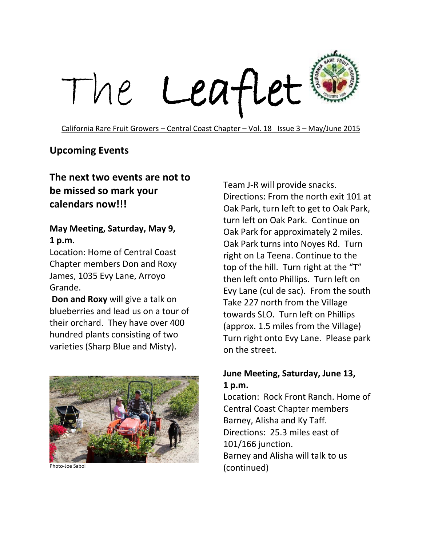

California Rare Fruit Growers – Central Coast Chapter – Vol. 18 Issue 3 – May/June 2015

#### **Upcoming Events**

### **The next two events are not to be missed so mark your calendars now!!!**

#### **May Meeting, Saturday, May 9, 1 p.m.**

Location: Home of Central Coast Chapter members Don and Roxy James, 1035 Evy Lane, Arroyo Grande.

**Don and Roxy** will give a talk on blueberries and lead us on a tour of their orchard. They have over 400 hundred plants consisting of two varieties (Sharp Blue and Misty).



Photo-Joe Sabol

Team J-R will provide snacks. Directions: From the north exit 101 at Oak Park, turn left to get to Oak Park, turn left on Oak Park. Continue on Oak Park for approximately 2 miles. Oak Park turns into Noyes Rd. Turn right on La Teena. Continue to the top of the hill. Turn right at the "T" then left onto Phillips. Turn left on Evy Lane (cul de sac). From the south Take 227 north from the Village towards SLO. Turn left on Phillips (approx. 1.5 miles from the Village) Turn right onto Evy Lane. Please park on the street.

#### **June Meeting, Saturday, June 13, 1 p.m.**

Location: Rock Front Ranch. Home of Central Coast Chapter members Barney, Alisha and Ky Taff. Directions: 25.3 miles east of 101/166 junction. Barney and Alisha will talk to us (continued)